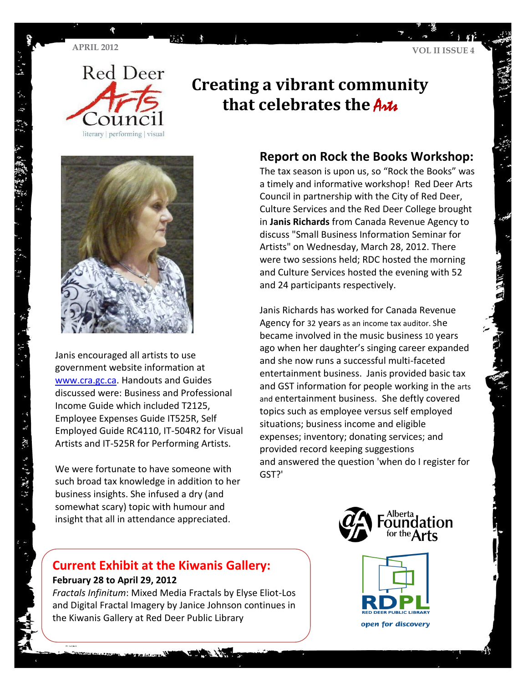

## **Creating a vibrant community that celebrates the Artic**



Janis encouraged all artists to use government website information at [www.cra.gc.ca.](http://www.cra.gc.ca/) Handouts and Guides discussed were: Business and Professional Income Guide which included T2125, Employee Expenses Guide IT525R, Self Employed Guide RC4110, IT-504R2 for Visual Artists and IT-525R for Performing Artists.

We were fortunate to have someone with such broad tax knowledge in addition to her business insights. She infused a dry (and somewhat scary) topic with humour and insight that all in attendance appreciated.

### **Report on Rock the Books Workshop:**

The tax season is upon us, so "Rock the Books" was a timely and informative workshop! Red Deer Arts Council in partnership with the City of Red Deer, Culture Services and the Red Deer College brought in **Janis Richards** from Canada Revenue Agency to discuss "Small Business Information Seminar for Artists" on Wednesday, March 28, 2012. There were two sessions held; RDC hosted the morning and Culture Services hosted the evening with 52 and 24 participants respectively.

Janis Richards has worked for Canada Revenue Agency for 32 years as an income tax auditor. She became involved in the music business 10 years ago when her daughter's singing career expanded and she now runs a successful multi-faceted entertainment business. Janis provided basic tax and GST information for people working in the arts and entertainment business. She deftly covered topics such as employee versus self employed situations; business income and eligible expenses; inventory; donating services; and provided record keeping suggestions and answered the question 'when do I register for GST?'



### **Current Exhibit at the Kiwanis Gallery: February 28 to April 29, 2012**

*Fractals Infinitum*: Mixed Media Fractals by Elyse Eliot-Los and Digital Fractal Imagery by Janice Johnson continues in the Kiwanis Gallery at Red Deer Public Library

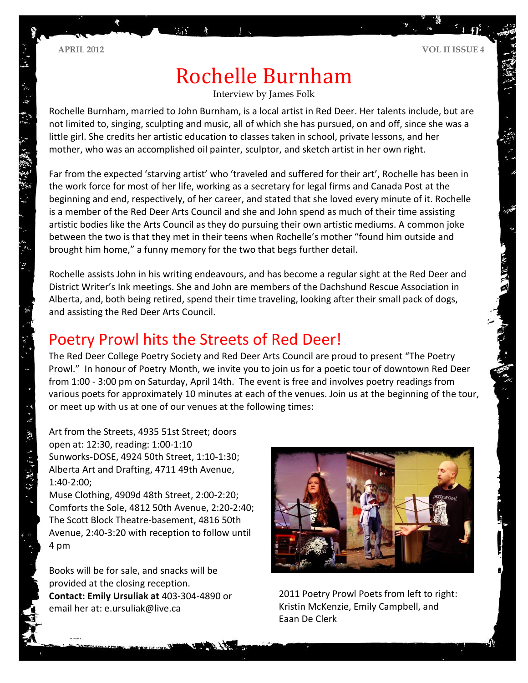# Rochelle Burnham

Interview by James Folk

Rochelle Burnham, married to John Burnham, is a local artist in Red Deer. Her talents include, but are not limited to, singing, sculpting and music, all of which she has pursued, on and off, since she was a little girl. She credits her artistic education to classes taken in school, private lessons, and her mother, who was an accomplished oil painter, sculptor, and sketch artist in her own right.

Far from the expected 'starving artist' who 'traveled and suffered for their art', Rochelle has been in the work force for most of her life, working as a secretary for legal firms and Canada Post at the beginning and end, respectively, of her career, and stated that she loved every minute of it. Rochelle is a member of the Red Deer Arts Council and she and John spend as much of their time assisting artistic bodies like the Arts Council as they do pursuing their own artistic mediums. A common joke between the two is that they met in their teens when Rochelle's mother "found him outside and brought him home," a funny memory for the two that begs further detail.

Rochelle assists John in his writing endeavours, and has become a regular sight at the Red Deer and District Writer's Ink meetings. She and John are members of the Dachshund Rescue Association in Alberta, and, both being retired, spend their time traveling, looking after their small pack of dogs, and assisting the Red Deer Arts Council.

## Poetry Prowl hits the Streets of Red Deer!

The Red Deer College Poetry Society and Red Deer Arts Council are proud to present "The Poetry Prowl." In honour of Poetry Month, we invite you to join us for a poetic tour of downtown Red Deer from 1:00 - 3:00 pm on Saturday, April 14th. The event is free and involves poetry readings from various poets for approximately 10 minutes at each of the venues. Join us at the beginning of the tour, or meet up with us at one of our venues at the following times:

Art from the Streets, 4935 51st Street; doors open at: 12:30, reading: 1:00-1:10 Sunworks-DOSE, 4924 50th Street, 1:10-1:30; Alberta Art and Drafting, 4711 49th Avenue, 1:40-2:00;

Muse Clothing, 4909d 48th Street, 2:00-2:20; Comforts the Sole, 4812 50th Avenue, 2:20-2:40; The Scott Block Theatre-basement, 4816 50th Avenue, 2:40-3:20 with reception to follow until 4 pm

Books will be for sale, and snacks will be provided at the closing reception. **Contact: Emily Ursuliak at** 403-304-4890 or email her at: e.ursuliak@live.ca



2011 Poetry Prowl Poets from left to right: Kristin McKenzie, Emily Campbell, and Eaan De Clerk

· 25 - 双六 3-27 27 27 27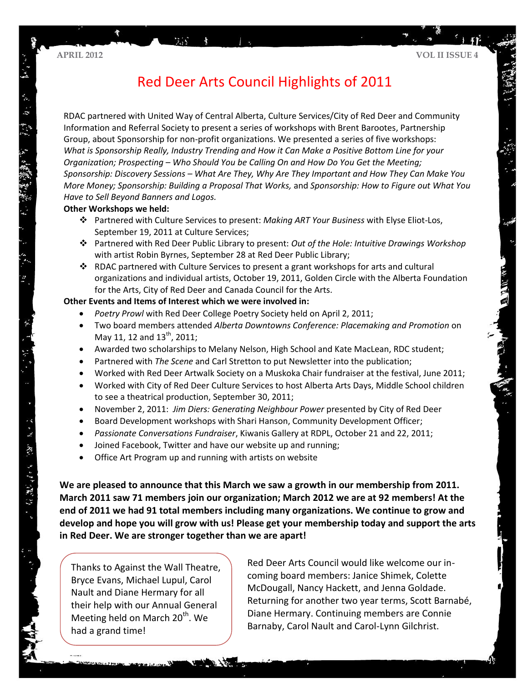## Red Deer Arts Council Highlights of 2011

RDAC partnered with United Way of Central Alberta, Culture Services/City of Red Deer and Community Information and Referral Society to present a series of workshops with Brent Barootes, Partnership Group, about Sponsorship for non-profit organizations. We presented a series of five workshops: *What is Sponsorship Really, Industry Trending and How it Can Make a Positive Bottom Line for your Organization; Prospecting – Who Should You be Calling On and How Do You Get the Meeting; Sponsorship: Discovery Sessions – What Are They, Why Are They Important and How They Can Make You More Money; Sponsorship: Building a Proposal That Works,* and *Sponsorship: How to Figure out What You Have to Sell Beyond Banners and Logos.* 

#### **Other Workshops we held:**

- Partnered with Culture Services to present: *Making ART Your Business* with Elyse Eliot-Los, September 19, 2011 at Culture Services;
- Partnered with Red Deer Public Library to present: *Out of the Hole: Intuitive Drawings Workshop* with artist Robin Byrnes, September 28 at Red Deer Public Library;
- $\cdot \cdot$  RDAC partnered with Culture Services to present a grant workshops for arts and cultural organizations and individual artists, October 19, 2011, Golden Circle with the Alberta Foundation for the Arts, City of Red Deer and Canada Council for the Arts.

#### **Other Events and Items of Interest which we were involved in:**

- *Poetry Prowl* with Red Deer College Poetry Society held on April 2, 2011;
- Two board members attended *Alberta Downtowns Conference: Placemaking and Promotion* on May 11, 12 and 13<sup>th</sup>, 2011;
- Awarded two scholarships to Melany Nelson, High School and Kate MacLean, RDC student;
- Partnered with *The Scene* and Carl Stretton to put Newsletter into the publication;
- Worked with Red Deer Artwalk Society on a Muskoka Chair fundraiser at the festival, June 2011;
- Worked with City of Red Deer Culture Services to host Alberta Arts Days, Middle School children to see a theatrical production, September 30, 2011;
- November 2, 2011: *Jim Diers: Generating Neighbour Power* presented by City of Red Deer
- Board Development workshops with Shari Hanson, Community Development Officer;
- *Passionate Conversations Fundraiser*, Kiwanis Gallery at RDPL, October 21 and 22, 2011;
- Joined Facebook, Twitter and have our website up and running;
- Office Art Program up and running with artists on website

**We are pleased to announce that this March we saw a growth in our membership from 2011. March 2011 saw 71 members join our organization; March 2012 we are at 92 members! At the end of 2011 we had 91 total members including many organizations. We continue to grow and develop and hope you will grow with us! Please get your membership today and support the arts in Red Deer. We are stronger together than we are apart!**

Thanks to Against the Wall Theatre, Bryce Evans, Michael Lupul, Carol Nault and Diane Hermary for all their help with our Annual General Meeting held on March  $20<sup>th</sup>$ . We had a grand time!

Red Deer Arts Council would like welcome our incoming board members: Janice Shimek, Colette McDougall, Nancy Hackett, and Jenna Goldade. Returning for another two year terms, Scott Barnabé, Diane Hermary. Continuing members are Connie Barnaby, Carol Nault and Carol-Lynn Gilchrist.